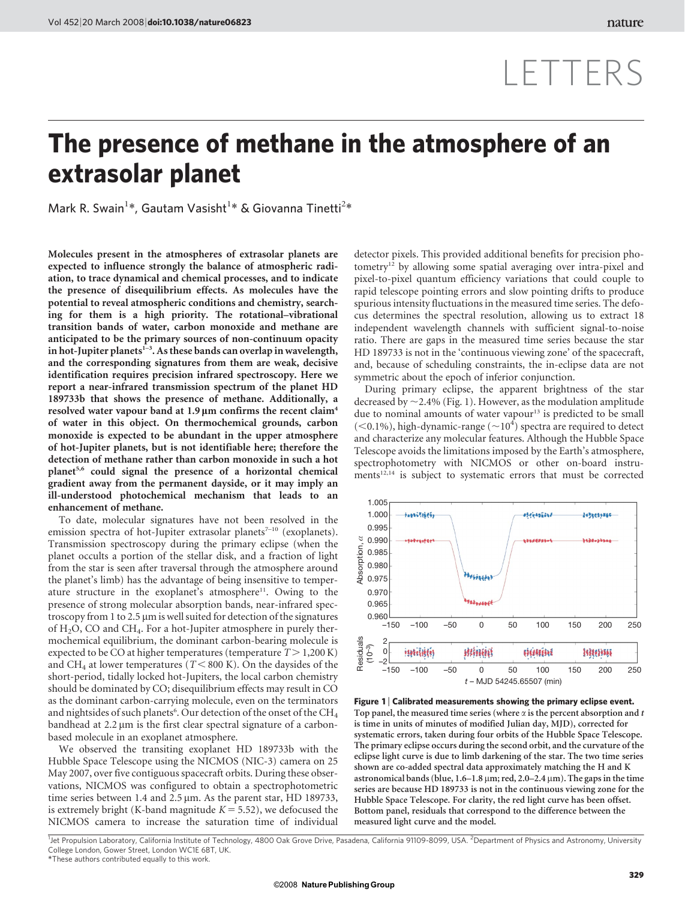## LETTERS

## The presence of methane in the atmosphere of an extrasolar planet

Mark R. Swain $^{1*}$ , Gautam Vasisht $^{1*}$  & Giovanna Tinetti $^{2*}$ 

Molecules present in the atmospheres of extrasolar planets are expected to influence strongly the balance of atmospheric radiation, to trace dynamical and chemical processes, and to indicate the presence of disequilibrium effects. As molecules have the potential to reveal atmospheric conditions and chemistry, searching for them is a high priority. The rotational–vibrational transition bands of water, carbon monoxide and methane are anticipated to be the primary sources of non-continuum opacity in hot-Jupiter planets<sup> $1-3$ </sup>. As these bands can overlap in wavelength, and the corresponding signatures from them are weak, decisive identification requires precision infrared spectroscopy. Here we report a near-infrared transmission spectrum of the planet HD 189733b that shows the presence of methane. Additionally, a resolved water vapour band at 1.9  $\mu$ m confirms the recent claim<sup>4</sup> of water in this object. On thermochemical grounds, carbon monoxide is expected to be abundant in the upper atmosphere of hot-Jupiter planets, but is not identifiable here; therefore the detection of methane rather than carbon monoxide in such a hot planet<sup>5,6</sup> could signal the presence of a horizontal chemical gradient away from the permanent dayside, or it may imply an ill-understood photochemical mechanism that leads to an enhancement of methane.

To date, molecular signatures have not been resolved in the emission spectra of hot-Jupiter extrasolar planets<sup>7-10</sup> (exoplanets). Transmission spectroscopy during the primary eclipse (when the planet occults a portion of the stellar disk, and a fraction of light from the star is seen after traversal through the atmosphere around the planet's limb) has the advantage of being insensitive to temperature structure in the exoplanet's atmosphere<sup>11</sup>. Owing to the presence of strong molecular absorption bands, near-infrared spectroscopy from 1 to 2.5  $\mu$ m is well suited for detection of the signatures of  $H<sub>2</sub>O$ , CO and CH<sub>4</sub>. For a hot-Jupiter atmosphere in purely thermochemical equilibrium, the dominant carbon-bearing molecule is expected to be CO at higher temperatures (temperature  $T > 1,200 \text{ K}$ ) and CH<sub>4</sub> at lower temperatures ( $T$  < 800 K). On the daysides of the short-period, tidally locked hot-Jupiters, the local carbon chemistry should be dominated by CO; disequilibrium effects may result in CO as the dominant carbon-carrying molecule, even on the terminators and nightsides of such planets<sup>6</sup>. Our detection of the onset of the  $\rm CH_{4}$ bandhead at  $2.2 \mu m$  is the first clear spectral signature of a carbonbased molecule in an exoplanet atmosphere.

We observed the transiting exoplanet HD 189733b with the Hubble Space Telescope using the NICMOS (NIC-3) camera on 25 May 2007, over five contiguous spacecraft orbits. During these observations, NICMOS was configured to obtain a spectrophotometric time series between 1.4 and  $2.5 \mu m$ . As the parent star, HD 189733, is extremely bright (K-band magnitude  $K = 5.52$ ), we defocused the NICMOS camera to increase the saturation time of individual detector pixels. This provided additional benefits for precision photometry<sup>12</sup> by allowing some spatial averaging over intra-pixel and pixel-to-pixel quantum efficiency variations that could couple to rapid telescope pointing errors and slow pointing drifts to produce spurious intensity fluctuations in the measured time series. The defocus determines the spectral resolution, allowing us to extract 18 independent wavelength channels with sufficient signal-to-noise ratio. There are gaps in the measured time series because the star HD 189733 is not in the 'continuous viewing zone' of the spacecraft, and, because of scheduling constraints, the in-eclipse data are not symmetric about the epoch of inferior conjunction.

During primary eclipse, the apparent brightness of the star decreased by  $\sim$  2.4% (Fig. 1). However, as the modulation amplitude due to nominal amounts of water vapour<sup>13</sup> is predicted to be small (<0.1%), high-dynamic-range ( $\sim$ 10<sup>4</sup>) spectra are required to detect and characterize any molecular features. Although the Hubble Space Telescope avoids the limitations imposed by the Earth's atmosphere, spectrophotometry with NICMOS or other on-board instruments<sup>12,14</sup> is subject to systematic errors that must be corrected



Figure 1 | Calibrated measurements showing the primary eclipse event. Top panel, the measured time series (where  $\alpha$  is the percent absorption and  $t$ is time in units of minutes of modified Julian day, MJD), corrected for systematic errors, taken during four orbits of the Hubble Space Telescope. The primary eclipse occurs during the second orbit, and the curvature of the eclipse light curve is due to limb darkening of the star. The two time series shown are co-added spectral data approximately matching the H and K astronomical bands (blue,  $1.6-1.8 \mu m$ ; red,  $2.0-2.4 \mu m$ ). The gaps in the time series are because HD 189733 is not in the continuous viewing zone for the Hubble Space Telescope. For clarity, the red light curve has been offset. Bottom panel, residuals that correspond to the difference between the measured light curve and the model.

*\**These authors contributed equally to this work. <sup>1</sup>Jet Propulsion Laboratory, California Institute of Technology, 4800 Oak Grove Drive, Pasadena, California 91109-8099, USA. <sup>2</sup>Department of Physics and Astronomy, University College London, Gower Street, London WC1E 6BT, UK.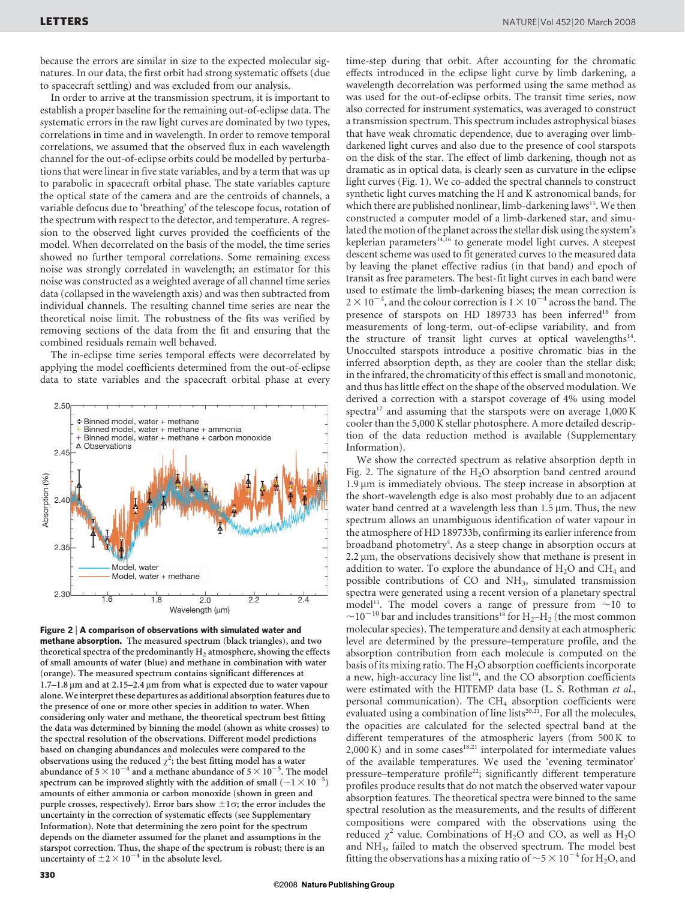because the errors are similar in size to the expected molecular signatures. In our data, the first orbit had strong systematic offsets (due to spacecraft settling) and was excluded from our analysis.

In order to arrive at the transmission spectrum, it is important to establish a proper baseline for the remaining out-of-eclipse data. The systematic errors in the raw light curves are dominated by two types, correlations in time and in wavelength. In order to remove temporal correlations, we assumed that the observed flux in each wavelength channel for the out-of-eclipse orbits could be modelled by perturbations that were linear in five state variables, and by a term that was up to parabolic in spacecraft orbital phase. The state variables capture the optical state of the camera and are the centroids of channels, a variable defocus due to 'breathing' of the telescope focus, rotation of the spectrum with respect to the detector, and temperature. A regression to the observed light curves provided the coefficients of the model. When decorrelated on the basis of the model, the time series showed no further temporal correlations. Some remaining excess noise was strongly correlated in wavelength; an estimator for this noise was constructed as a weighted average of all channel time series data (collapsed in the wavelength axis) and was then subtracted from individual channels. The resulting channel time series are near the theoretical noise limit. The robustness of the fits was verified by removing sections of the data from the fit and ensuring that the combined residuals remain well behaved.

The in-eclipse time series temporal effects were decorrelated by applying the model coefficients determined from the out-of-eclipse data to state variables and the spacecraft orbital phase at every



Figure 2 <sup>|</sup> A comparison of observations with simulated water and methane absorption. The measured spectrum (black triangles), and two theoretical spectra of the predominantly  $H_2$  atmosphere, showing the effects of small amounts of water (blue) and methane in combination with water (orange). The measured spectrum contains significant differences at  $1.7-1.8$  µm and at  $2.15-2.4$  µm from what is expected due to water vapour alone. We interpret these departures as additional absorption features due to the presence of one or more other species in addition to water. When considering only water and methane, the theoretical spectrum best fitting the data was determined by binning the model (shown as white crosses) to the spectral resolution of the observations. Different model predictions based on changing abundances and molecules were compared to the observations using the reduced  $\chi^2$ ; the best fitting model has a water abundance of  $5 \times 10^{-4}$  and a methane abundance of  $5 \times 10^{-5}$ . The model spectrum can be improved slightly with the addition of small  $({\sim}1 \times 10^{-5})$ amounts of either ammonia or carbon monoxide (shown in green and purple crosses, respectively). Error bars show  $\pm 1\sigma$ ; the error includes the uncertainty in the correction of systematic effects (see Supplementary Information). Note that determining the zero point for the spectrum depends on the diameter assumed for the planet and assumptions in the starspot correction. Thus, the shape of the spectrum is robust; there is an uncertainty of  $\pm 2 \times 10^{-4}$  in the absolute level.

effects introduced in the eclipse light curve by limb darkening, a wavelength decorrelation was performed using the same method as was used for the out-of-eclipse orbits. The transit time series, now also corrected for instrument systematics, was averaged to construct a transmission spectrum. This spectrum includes astrophysical biases that have weak chromatic dependence, due to averaging over limbdarkened light curves and also due to the presence of cool starspots on the disk of the star. The effect of limb darkening, though not as dramatic as in optical data, is clearly seen as curvature in the eclipse light curves (Fig. 1). We co-added the spectral channels to construct synthetic light curves matching the H and K astronomical bands, for which there are published nonlinear, limb-darkening laws<sup>15</sup>. We then constructed a computer model of a limb-darkened star, and simulated the motion of the planet across the stellar disk using the system's keplerian parameters<sup>14,16</sup> to generate model light curves. A steepest descent scheme was used to fit generated curves to the measured data by leaving the planet effective radius (in that band) and epoch of transit as free parameters. The best-fit light curves in each band were used to estimate the limb-darkening biases; the mean correction is  $2 \times 10^{-4}$ , and the colour correction is  $1 \times 10^{-4}$  across the band. The presence of starspots on HD 189733 has been inferred<sup>16</sup> from measurements of long-term, out-of-eclipse variability, and from the structure of transit light curves at optical wavelengths $14$ . Unocculted starspots introduce a positive chromatic bias in the inferred absorption depth, as they are cooler than the stellar disk; in the infrared, the chromaticity of this effect is small and monotonic, and thus has little effect on the shape of the observed modulation. We derived a correction with a starspot coverage of 4% using model spectra<sup>17</sup> and assuming that the starspots were on average  $1,000 \text{ K}$ cooler than the 5,000 K stellar photosphere. A more detailed description of the data reduction method is available (Supplementary Information).

time-step during that orbit. After accounting for the chromatic

We show the corrected spectrum as relative absorption depth in Fig. 2. The signature of the  $H_2O$  absorption band centred around  $1.9 \,\mu m$  is immediately obvious. The steep increase in absorption at the short-wavelength edge is also most probably due to an adjacent water band centred at a wavelength less than  $1.5 \mu m$ . Thus, the new spectrum allows an unambiguous identification of water vapour in the atmosphere of HD 189733b, confirming its earlier inference from broadband photometry<sup>4</sup>. As a steep change in absorption occurs at  $2.2 \mu m$ , the observations decisively show that methane is present in addition to water. To explore the abundance of  $H_2O$  and  $CH_4$  and possible contributions of CO and NH3, simulated transmission spectra were generated using a recent version of a planetary spectral model<sup>13</sup>. The model covers a range of pressure from  $\sim$ 10 to  $\sim$ 10<sup>-10</sup> bar and includes transitions<sup>18</sup> for H<sub>2</sub>-H<sub>2</sub> (the most common molecular species). The temperature and density at each atmospheric level are determined by the pressure–temperature profile, and the absorption contribution from each molecule is computed on the basis of its mixing ratio. The  $H<sub>2</sub>O$  absorption coefficients incorporate a new, high-accuracy line list<sup>19</sup>, and the CO absorption coefficients were estimated with the HITEMP data base (L. S. Rothman et al., personal communication). The  $CH<sub>4</sub>$  absorption coefficients were evaluated using a combination of line lists<sup>20,21</sup>. For all the molecules, the opacities are calculated for the selected spectral band at the different temperatures of the atmospheric layers (from 500 K to  $2,000 \text{ K}$ ) and in some cases<sup>18,21</sup> interpolated for intermediate values of the available temperatures. We used the 'evening terminator' pressure–temperature profile<sup>22</sup>; significantly different temperature profiles produce results that do not match the observed water vapour absorption features. The theoretical spectra were binned to the same spectral resolution as the measurements, and the results of different compositions were compared with the observations using the reduced  $\chi^2$  value. Combinations of H<sub>2</sub>O and CO, as well as H<sub>2</sub>O and NH3, failed to match the observed spectrum. The model best fitting the observations has a mixing ratio of  $\sim$  5  $\times$  10<sup>-4</sup> for H<sub>2</sub>O, and